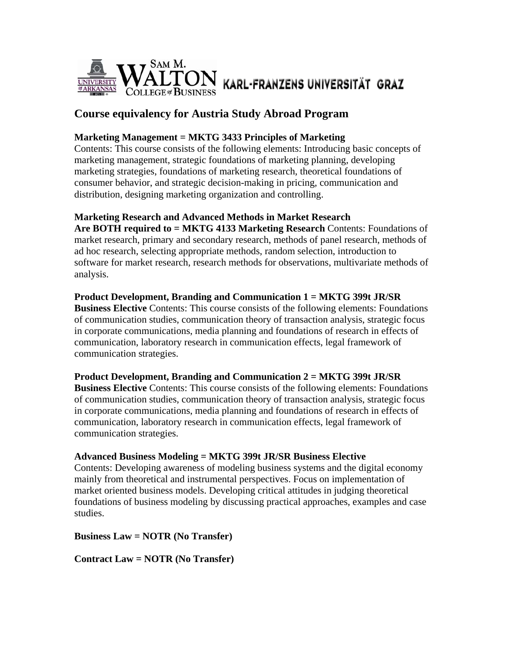

# **Course equivalency for Austria Study Abroad Program**

# **Marketing Management = MKTG 3433 Principles of Marketing**

Contents: This course consists of the following elements: Introducing basic concepts of marketing management, strategic foundations of marketing planning, developing marketing strategies, foundations of marketing research, theoretical foundations of consumer behavior, and strategic decision-making in pricing, communication and distribution, designing marketing organization and controlling.

# **Marketing Research and Advanced Methods in Market Research**

**Are BOTH required to = MKTG 4133 Marketing Research** Contents: Foundations of market research, primary and secondary research, methods of panel research, methods of ad hoc research, selecting appropriate methods, random selection, introduction to software for market research, research methods for observations, multivariate methods of analysis.

# **Product Development, Branding and Communication 1 = MKTG 399t JR/SR**

**Business Elective** Contents: This course consists of the following elements: Foundations of communication studies, communication theory of transaction analysis, strategic focus in corporate communications, media planning and foundations of research in effects of communication, laboratory research in communication effects, legal framework of communication strategies.

# **Product Development, Branding and Communication 2 = MKTG 399t JR/SR**

**Business Elective** Contents: This course consists of the following elements: Foundations of communication studies, communication theory of transaction analysis, strategic focus in corporate communications, media planning and foundations of research in effects of communication, laboratory research in communication effects, legal framework of communication strategies.

# **Advanced Business Modeling = MKTG 399t JR/SR Business Elective**

Contents: Developing awareness of modeling business systems and the digital economy mainly from theoretical and instrumental perspectives. Focus on implementation of market oriented business models. Developing critical attitudes in judging theoretical foundations of business modeling by discussing practical approaches, examples and case studies.

# **Business Law = NOTR (No Transfer)**

**Contract Law = NOTR (No Transfer)**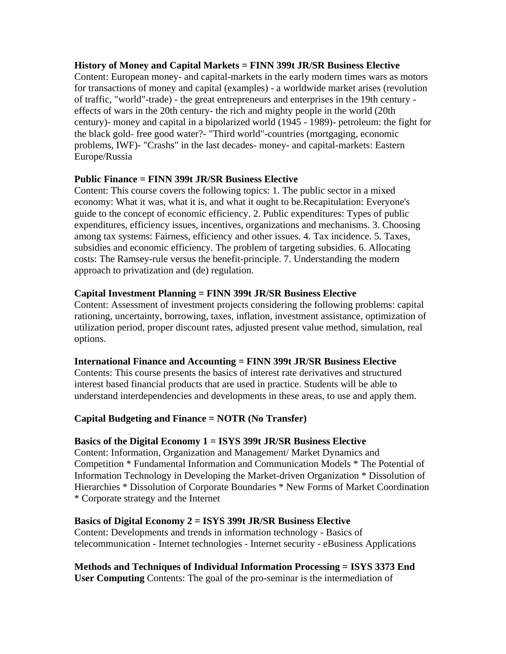# **History of Money and Capital Markets = FINN 399t JR/SR Business Elective**

Content: European money- and capital-markets in the early modern times wars as motors for transactions of money and capital (examples) - a worldwide market arises (revolution of traffic, "world"-trade) - the great entrepreneurs and enterprises in the 19th century effects of wars in the 20th century- the rich and mighty people in the world (20th century)- money and capital in a bipolarized world (1945 - 1989)- petroleum: the fight for the black gold- free good water?- "Third world"-countries (mortgaging, economic problems, IWF)- "Crashs" in the last decades- money- and capital-markets: Eastern Europe/Russia

# **Public Finance = FINN 399t JR/SR Business Elective**

Content: This course covers the following topics: 1. The public sector in a mixed economy: What it was, what it is, and what it ought to be.Recapitulation: Everyone's guide to the concept of economic efficiency. 2. Public expenditures: Types of public expenditures, efficiency issues, incentives, organizations and mechanisms. 3. Choosing among tax systems: Fairness, efficiency and other issues. 4. Tax incidence. 5. Taxes, subsidies and economic efficiency. The problem of targeting subsidies. 6. Allocating costs: The Ramsey-rule versus the benefit-principle. 7. Understanding the modern approach to privatization and (de) regulation.

#### **Capital Investment Planning = FINN 399t JR/SR Business Elective**

Content: Assessment of investment projects considering the following problems: capital rationing, uncertainty, borrowing, taxes, inflation, investment assistance, optimization of utilization period, proper discount rates, adjusted present value method, simulation, real options.

# **International Finance and Accounting = FINN 399t JR/SR Business Elective**

Contents: This course presents the basics of interest rate derivatives and structured interest based financial products that are used in practice. Students will be able to understand interdependencies and developments in these areas, to use and apply them.

# **Capital Budgeting and Finance = NOTR (No Transfer)**

# **Basics of the Digital Economy 1 = ISYS 399t JR/SR Business Elective**

Content: Information, Organization and Management/ Market Dynamics and Competition \* Fundamental Information and Communication Models \* The Potential of Information Technology in Developing the Market-driven Organization \* Dissolution of Hierarchies \* Dissolution of Corporate Boundaries \* New Forms of Market Coordination \* Corporate strategy and the Internet

#### **Basics of Digital Economy 2 = ISYS 399t JR/SR Business Elective**

Content: Developments and trends in information technology - Basics of telecommunication - Internet technologies - Internet security - eBusiness Applications

# **Methods and Techniques of Individual Information Processing = ISYS 3373 End**

**User Computing** Contents: The goal of the pro-seminar is the intermediation of